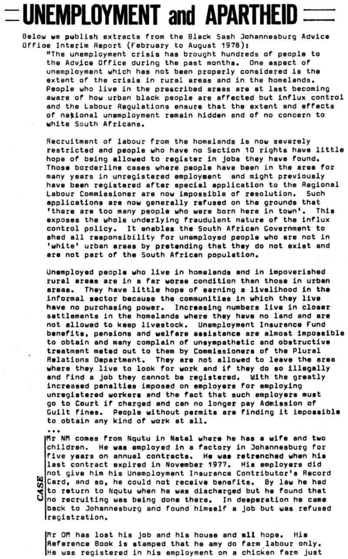## **UNEMPLOYMENT and APARTHEID**

**Below we publish extracts from the Black Sash Johannesburg Advice Offioe Interim Report (February to August 1978):** 

**"The unemployment crisis has brought hundreds of people to the [Advj.ce O](http://Advj.ce)ffice during the past months. One aspect of unemployment which has not been properly considered is the extent of the crisis in rural areas and in the homelands. People who live in the prescribed areas are at last becoming aware of how urban black people are affected but influx control and the Labour Regulations ensure that the extent end effects of national unemployment remain hidden and of no concern to white South Africans.** 

**Recruitment of labour from the homelands is now severely restricted end people who neve no Section 10 rights have little hope of being allowed to register in Jobs they have found. Those borderline cases where people have been in the area for many years in unregistered employment end might previously have been registered after special application to the Regionel Labour Commissioner are now impossible of resolution. Such applications are now generally refused on the grounds that 'there are too many people who were born here in town<sup>9</sup>. This exposes the whole underlying fraudulent nature of the influx control policy. It enables the South African Government to shed all responsibility for unemployed people who ere not in 'white' urban areas by pretending that they do not exist and are not part of the South African population.** 

**Unemployed people who live in homelands and in impoverished rural areas are in a far worae condition than those in urban areas. They heve little hope of earning a livelihood in the informal sector because the communities in which they live have no purchasing power. Increasing numbers live in closer settlements in the homelands where they heve no land and are not allowed to keep livestock. Unemployment Insurance Fund benefits, pensions and welfare assistance are almost impossible to obtain and many complain of unsympathetic and obstructive treatment meted out to them by Commissioners of the Plural Relatione Department. They are not allowed to leave the erea where they live to look for work end if they do so illegally and find a job they cannot be registered. With the greetly increased penaltiee imposed on employers for employing unregistered workers end the fact that such employers must go to Court if charged and can no longer pey Admission of Guilt fines. People without permits are finding it impossible to obtain any kind of work at all.** 

## • • •

 $\sigma$ 

**fir NPi comes from Nqutu in Natal where he has a wife and two children. He was employed in e factory in Johannesburg for five years on annual contracts. He was retrenched when hie last contract expired in November 1977. Hie employers did not give him his Unemployment Insurance Contributor's Record**  Card, and so, he could not receive benefits. By law he had **to return to Nqutu when he was dischsrged but he found thet**  CO **no recruiting was being done there. In deeperation he ceme 5 back to Johannesburg and found himself a job but was refused registration.** 

**Mr OH has lost his job and his house and all hope. Hie Reference Book is stamped that he amy do farm labour only. Me was registered in his employment on a chicken farm just**